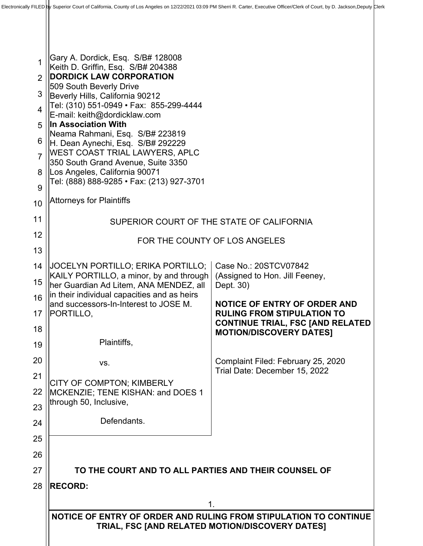| 28                       |                                                                                                                                                                                                             | $\mathbf 1$<br>NOTICE OF ENTRY OF ORDER AND RULING FROM STIPULATION TO CONTINUE<br>TRIAL, FSC [AND RELATED MOTION/DISCOVERY DATES] |  |  |  |
|--------------------------|-------------------------------------------------------------------------------------------------------------------------------------------------------------------------------------------------------------|------------------------------------------------------------------------------------------------------------------------------------|--|--|--|
|                          | <b>RECORD:</b>                                                                                                                                                                                              |                                                                                                                                    |  |  |  |
| 27                       | TO THE COURT AND TO ALL PARTIES AND THEIR COUNSEL OF                                                                                                                                                        |                                                                                                                                    |  |  |  |
| 26                       |                                                                                                                                                                                                             |                                                                                                                                    |  |  |  |
| 25                       |                                                                                                                                                                                                             |                                                                                                                                    |  |  |  |
| 24                       | Defendants.                                                                                                                                                                                                 |                                                                                                                                    |  |  |  |
| 23                       | through 50, Inclusive,                                                                                                                                                                                      |                                                                                                                                    |  |  |  |
| 22                       | CITY OF COMPTON; KIMBERLY<br>MCKENZIE; TENE KISHAN: and DOES 1                                                                                                                                              |                                                                                                                                    |  |  |  |
| 21                       | VS.                                                                                                                                                                                                         | Trial Date: December 15, 2022                                                                                                      |  |  |  |
| 20                       |                                                                                                                                                                                                             | Complaint Filed: February 25, 2020                                                                                                 |  |  |  |
| 18<br>19                 | Plaintiffs,                                                                                                                                                                                                 | <b>MOTION/DISCOVERY DATES]</b>                                                                                                     |  |  |  |
| 17                       | PORTILLO,                                                                                                                                                                                                   | <b>RULING FROM STIPULATION TO</b><br><b>CONTINUE TRIAL, FSC [AND RELATED</b>                                                       |  |  |  |
| 16                       | and successors-In-Interest to JOSE M.                                                                                                                                                                       | <b>NOTICE OF ENTRY OF ORDER AND</b>                                                                                                |  |  |  |
| 15                       | her Guardian Ad Litem, ANA MENDEZ, all<br>in their individual capacities and as heirs                                                                                                                       | Dept. 30)                                                                                                                          |  |  |  |
| 14                       | JOCELYN PORTILLO; ERIKA PORTILLO;<br>KAILY PORTILLO, a minor, by and through                                                                                                                                | Case No.: 20STCV07842<br>(Assigned to Hon. Jill Feeney,                                                                            |  |  |  |
| 13                       |                                                                                                                                                                                                             |                                                                                                                                    |  |  |  |
| 12                       | FOR THE COUNTY OF LOS ANGELES                                                                                                                                                                               |                                                                                                                                    |  |  |  |
| 11                       | SUPERIOR COURT OF THE STATE OF CALIFORNIA                                                                                                                                                                   |                                                                                                                                    |  |  |  |
| 10                       | <b>Attorneys for Plaintiffs</b>                                                                                                                                                                             |                                                                                                                                    |  |  |  |
| 9                        | Tel: (888) 888-9285 • Fax: (213) 927-3701                                                                                                                                                                   |                                                                                                                                    |  |  |  |
| 8                        | In Association With<br>Neama Rahmani, Esq. S/B# 223819<br>H. Dean Aynechi, Esq. S/B# 292229<br><b>WEST COAST TRIAL LAWYERS, APLC</b><br>350 South Grand Avenue, Suite 3350<br>Los Angeles, California 90071 |                                                                                                                                    |  |  |  |
| 6<br>$\overline{7}$      |                                                                                                                                                                                                             |                                                                                                                                    |  |  |  |
| 5                        |                                                                                                                                                                                                             |                                                                                                                                    |  |  |  |
| $\overline{\mathcal{A}}$ | Tel: (310) 551-0949 · Fax: 855-299-4444<br>E-mail: keith@dordicklaw.com                                                                                                                                     |                                                                                                                                    |  |  |  |
| 3                        | 509 South Beverly Drive<br>Beverly Hills, California 90212                                                                                                                                                  |                                                                                                                                    |  |  |  |
| 2                        | <b>DORDICK LAW CORPORATION</b>                                                                                                                                                                              |                                                                                                                                    |  |  |  |
| 1                        | Gary A. Dordick, Esq. S/B# 128008<br>Keith D. Griffin, Esq. S/B# 204388                                                                                                                                     |                                                                                                                                    |  |  |  |
|                          |                                                                                                                                                                                                             |                                                                                                                                    |  |  |  |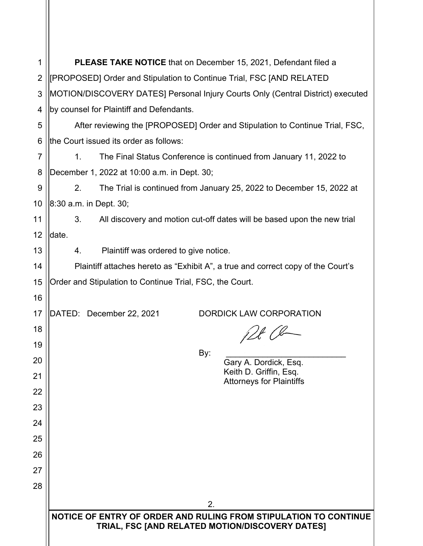| 1              | PLEASE TAKE NOTICE that on December 15, 2021, Defendant filed a                                                     |  |  |
|----------------|---------------------------------------------------------------------------------------------------------------------|--|--|
| 2              | [PROPOSED] Order and Stipulation to Continue Trial, FSC [AND RELATED                                                |  |  |
| 3              | MOTION/DISCOVERY DATES] Personal Injury Courts Only (Central District) executed                                     |  |  |
| 4              | by counsel for Plaintiff and Defendants.                                                                            |  |  |
| 5              | After reviewing the [PROPOSED] Order and Stipulation to Continue Trial, FSC,                                        |  |  |
| 6              | the Court issued its order as follows:                                                                              |  |  |
| $\overline{7}$ | The Final Status Conference is continued from January 11, 2022 to<br>$1_{-}$                                        |  |  |
| 8              | December 1, 2022 at 10:00 a.m. in Dept. 30;                                                                         |  |  |
| 9              | The Trial is continued from January 25, 2022 to December 15, 2022 at<br>2.                                          |  |  |
| 10             | 8:30 a.m. in Dept. 30;                                                                                              |  |  |
| 11             | All discovery and motion cut-off dates will be based upon the new trial<br>3.                                       |  |  |
| 12             | date.                                                                                                               |  |  |
| 13             | Plaintiff was ordered to give notice.<br>4.                                                                         |  |  |
| 14             | Plaintiff attaches hereto as "Exhibit A", a true and correct copy of the Court's                                    |  |  |
| 15             | Order and Stipulation to Continue Trial, FSC, the Court.                                                            |  |  |
| 16             |                                                                                                                     |  |  |
| 17             | DATED: December 22, 2021<br><b>DORDICK LAW CORPORATION</b>                                                          |  |  |
| 18             | 128/8                                                                                                               |  |  |
| 19             | By:                                                                                                                 |  |  |
| 20             | Gary A. Dordick, Esq.<br>Keith D. Griffin, Esq.                                                                     |  |  |
| 21             | <b>Attorneys for Plaintiffs</b>                                                                                     |  |  |
| 22             |                                                                                                                     |  |  |
| 23             |                                                                                                                     |  |  |
| 24             |                                                                                                                     |  |  |
| 25             |                                                                                                                     |  |  |
| 26             |                                                                                                                     |  |  |
| 27             |                                                                                                                     |  |  |
| 28             |                                                                                                                     |  |  |
|                | 2.                                                                                                                  |  |  |
|                | NOTICE OF ENTRY OF ORDER AND RULING FROM STIPULATION TO CONTINUE<br>TRIAL, FSC [AND RELATED MOTION/DISCOVERY DATES] |  |  |
|                |                                                                                                                     |  |  |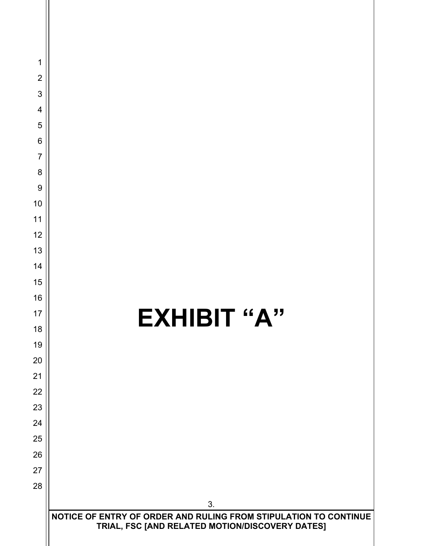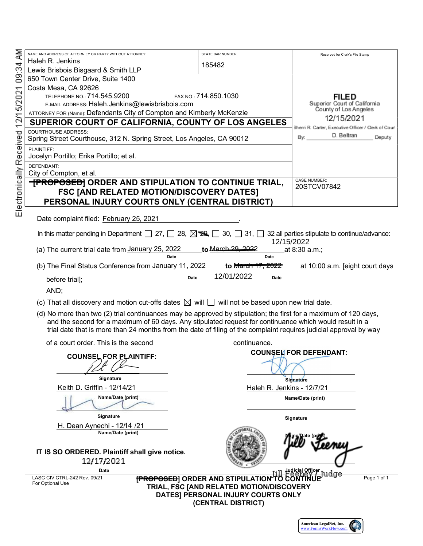|                         | NAME AND ADDRESS OF ATTORN EY OR PARTY WITHOUT ATTORNEY:                                                                                              | <b>STATE BAR NUMBER</b>                             |                                                      |  |
|-------------------------|-------------------------------------------------------------------------------------------------------------------------------------------------------|-----------------------------------------------------|------------------------------------------------------|--|
| ā                       | Haleh R. Jenkins                                                                                                                                      |                                                     | Reserved for Clerk's File Stamp                      |  |
| 09:34                   | Lewis Brisbois Bisgaard & Smith LLP                                                                                                                   | 185482                                              |                                                      |  |
|                         | 650 Town Center Drive, Suite 1400                                                                                                                     |                                                     |                                                      |  |
|                         | Costa Mesa, CA 92626                                                                                                                                  |                                                     |                                                      |  |
| 12/15/2021              | TELEPHONE NO.: 714.545.9200                                                                                                                           | FAX NO.: 714.850.1030                               | FILED                                                |  |
|                         | E-MAIL ADDRESS: Haleh.Jenkins@lewisbrisbois.com                                                                                                       |                                                     | Superior Court of California                         |  |
|                         | ATTORNEY FOR (Name): Defendants City of Compton and Kimberly McKenzie                                                                                 |                                                     | County of Los Angeles                                |  |
|                         | SUPERIOR COURT OF CALIFORNIA, COUNTY OF LOS ANGELES                                                                                                   |                                                     | 12/15/2021                                           |  |
|                         | <b>COURTHOUSE ADDRESS:</b>                                                                                                                            |                                                     | Sherri R. Carter, Executive Officer / Clerk of Court |  |
|                         | Spring Street Courthouse, 312 N. Spring Street, Los Angeles, CA 90012                                                                                 |                                                     | D. Beltran<br>By:<br>Deputy                          |  |
|                         | PLAINTIFF:                                                                                                                                            |                                                     |                                                      |  |
|                         | Jocelyn Portillo; Erika Portillo; et al.                                                                                                              |                                                     |                                                      |  |
|                         | DEFENDANT:                                                                                                                                            |                                                     |                                                      |  |
|                         | City of Compton, et al.                                                                                                                               |                                                     |                                                      |  |
|                         | <b>TPROPOSED]</b> ORDER AND STIPULATION TO CONTINUE TRIAL,                                                                                            |                                                     | <b>CASE NUMBER:</b><br>20STCV07842                   |  |
|                         | <b>FSC [AND RELATED MOTION/DISCOVERY DATES]</b>                                                                                                       |                                                     |                                                      |  |
|                         | PERSONAL INJURY COURTS ONLY (CENTRAL DISTRICT)                                                                                                        |                                                     |                                                      |  |
| Electronically Received |                                                                                                                                                       |                                                     |                                                      |  |
|                         | Date complaint filed: February 25, 2021                                                                                                               |                                                     |                                                      |  |
|                         |                                                                                                                                                       |                                                     |                                                      |  |
|                         | In this matter pending in Department $\Box$ 27, $\Box$ 28, $\boxtimes$ 29, $\Box$ 30, $\Box$ 31, $\Box$ 32 all parties stipulate to continue/advance: |                                                     | FGEFIEDGEGG                                          |  |
|                         | (a) The current trial date from January 25, 2022                                                                                                      | to March 29, 2022                                   | at 8:30 a.m.;                                        |  |
|                         | Date                                                                                                                                                  | Date                                                |                                                      |  |
|                         | (b) The Final Status Conference from January 11, 2022                                                                                                 | <u>to M<del>arch 17, 2022</del></u>                 | at 10:00 a.m. [eight court days                      |  |
|                         | Date                                                                                                                                                  | FGBEFEDGEGG<br>Date                                 |                                                      |  |
|                         | before trial];                                                                                                                                        |                                                     |                                                      |  |
|                         | AND;                                                                                                                                                  |                                                     |                                                      |  |
|                         | (c) That all discovery and motion cut-offs dates $\boxtimes$ will $\Box$ will not be based upon new trial date.                                       |                                                     |                                                      |  |
|                         | (d) No more than two (2) trial continuances may be approved by stipulation; the first for a maximum of 120 days,                                      |                                                     |                                                      |  |
|                         | and the second for a maximum of 60 days. Any stipulated request for continuance which would result in a                                               |                                                     |                                                      |  |
|                         | trial date that is more than 24 months from the date of filing of the complaint requires judicial approval by way                                     |                                                     |                                                      |  |
|                         | of a court order. This is the second                                                                                                                  | continuance.                                        |                                                      |  |
|                         |                                                                                                                                                       |                                                     | <b>COUNSEL FOR DEFENDANT:</b>                        |  |
|                         | <b>COUNSEL FOR PLAINTIFF:</b>                                                                                                                         |                                                     |                                                      |  |
|                         |                                                                                                                                                       |                                                     |                                                      |  |
|                         | Signature                                                                                                                                             |                                                     | Signature                                            |  |
|                         | Keith D. Griffin - 12/14/21                                                                                                                           | Haleh R. Jenkins - 12/7/21                          |                                                      |  |
|                         | Name/Date (print)                                                                                                                                     |                                                     | Name/Date (print)                                    |  |
|                         |                                                                                                                                                       |                                                     |                                                      |  |
|                         | Signature                                                                                                                                             |                                                     |                                                      |  |
|                         | H. Dean Aynechi - 12/14 /21                                                                                                                           |                                                     | Signature                                            |  |
|                         | Name/Date (print)                                                                                                                                     |                                                     |                                                      |  |
|                         |                                                                                                                                                       |                                                     | ne/Date (pri                                         |  |
|                         | IT IS SO ORDERED. Plaintiff shall give notice.                                                                                                        |                                                     |                                                      |  |
|                         | 12/17/2021                                                                                                                                            |                                                     |                                                      |  |
|                         | <b>Date</b>                                                                                                                                           |                                                     | <b>Hedicial Officer</b>                              |  |
|                         | LASC CIV CTRL-242 Rev. 09/21                                                                                                                          | <b>[PROPOSED]</b> ORDER AND STIPULATION TO CONTINUE | Page 1 of 1                                          |  |
|                         | For Optional Use                                                                                                                                      | TRIAL, FSC [AND RELATED MOTION/DISCOVERY            |                                                      |  |
|                         |                                                                                                                                                       | DATES] PERSONAL INJURY COURTS ONLY                  |                                                      |  |
|                         |                                                                                                                                                       | (CENTRAL DISTRICT)                                  |                                                      |  |
|                         |                                                                                                                                                       |                                                     |                                                      |  |
|                         |                                                                                                                                                       |                                                     |                                                      |  |

American LegalNet, Inc.<br>www.FormsWorkFlow.com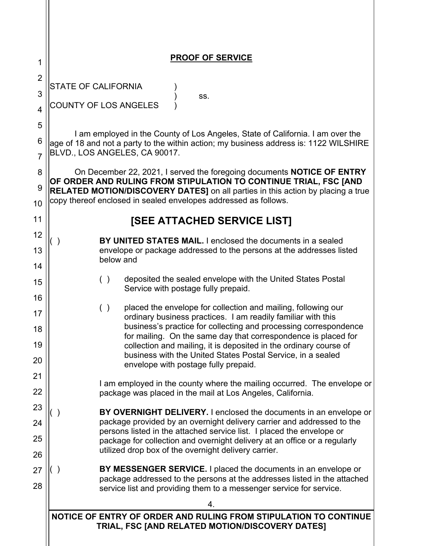| 1                                | <b>PROOF OF SERVICE</b>                                                                                                                                                                                                                                                                                                                                                                                                                                |  |  |  |  |
|----------------------------------|--------------------------------------------------------------------------------------------------------------------------------------------------------------------------------------------------------------------------------------------------------------------------------------------------------------------------------------------------------------------------------------------------------------------------------------------------------|--|--|--|--|
| $\overline{2}$                   | <b>STATE OF CALIFORNIA</b>                                                                                                                                                                                                                                                                                                                                                                                                                             |  |  |  |  |
| 3<br>$\overline{4}$              | SS.<br>COUNTY OF LOS ANGELES                                                                                                                                                                                                                                                                                                                                                                                                                           |  |  |  |  |
| 5                                | I am employed in the County of Los Angeles, State of California. I am over the                                                                                                                                                                                                                                                                                                                                                                         |  |  |  |  |
| 6<br>7                           | age of 18 and not a party to the within action; my business address is: 1122 WILSHIRE<br>BLVD., LOS ANGELES, CA 90017.                                                                                                                                                                                                                                                                                                                                 |  |  |  |  |
| 8<br>9<br>10                     | On December 22, 2021, I served the foregoing documents <b>NOTICE OF ENTRY</b><br>OF ORDER AND RULING FROM STIPULATION TO CONTINUE TRIAL, FSC [AND<br><b>RELATED MOTION/DISCOVERY DATES]</b> on all parties in this action by placing a true<br>copy thereof enclosed in sealed envelopes addressed as follows.                                                                                                                                         |  |  |  |  |
| 11                               | [SEE ATTACHED SERVICE LIST]                                                                                                                                                                                                                                                                                                                                                                                                                            |  |  |  |  |
| 12<br>13<br>14                   | BY UNITED STATES MAIL. I enclosed the documents in a sealed<br>envelope or package addressed to the persons at the addresses listed<br>below and                                                                                                                                                                                                                                                                                                       |  |  |  |  |
| 15                               | deposited the sealed envelope with the United States Postal<br>( )<br>Service with postage fully prepaid.                                                                                                                                                                                                                                                                                                                                              |  |  |  |  |
| 16<br>17<br>18<br>19<br>20<br>21 | placed the envelope for collection and mailing, following our<br>( )<br>ordinary business practices. I am readily familiar with this<br>business's practice for collecting and processing correspondence<br>for mailing. On the same day that correspondence is placed for<br>collection and mailing, it is deposited in the ordinary course of<br>business with the United States Postal Service, in a sealed<br>envelope with postage fully prepaid. |  |  |  |  |
| 22                               | I am employed in the county where the mailing occurred. The envelope or<br>package was placed in the mail at Los Angeles, California.                                                                                                                                                                                                                                                                                                                  |  |  |  |  |
| 23<br>24<br>25<br>26             | BY OVERNIGHT DELIVERY. I enclosed the documents in an envelope or<br>package provided by an overnight delivery carrier and addressed to the<br>persons listed in the attached service list. I placed the envelope or<br>package for collection and overnight delivery at an office or a regularly<br>utilized drop box of the overnight delivery carrier.                                                                                              |  |  |  |  |
| 27<br>28                         | BY MESSENGER SERVICE. I placed the documents in an envelope or<br>package addressed to the persons at the addresses listed in the attached<br>service list and providing them to a messenger service for service.                                                                                                                                                                                                                                      |  |  |  |  |
|                                  | 4.<br>NOTICE OF ENTRY OF ORDER AND RULING FROM STIPULATION TO CONTINUE                                                                                                                                                                                                                                                                                                                                                                                 |  |  |  |  |
|                                  | TRIAL, FSC [AND RELATED MOTION/DISCOVERY DATES]                                                                                                                                                                                                                                                                                                                                                                                                        |  |  |  |  |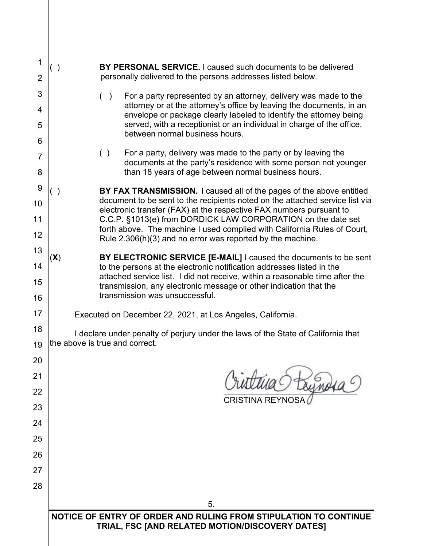| 1<br>$\overline{2}$ | <b>BY PERSONAL SERVICE.</b> I caused such documents to be delivered<br>( )<br>personally delivered to the persons addresses listed below.                                                                                   |  |  |  |  |
|---------------------|-----------------------------------------------------------------------------------------------------------------------------------------------------------------------------------------------------------------------------|--|--|--|--|
| 3                   | For a party represented by an attorney, delivery was made to the<br>( )                                                                                                                                                     |  |  |  |  |
| 4                   | attorney or at the attorney's office by leaving the documents, in an<br>envelope or package clearly labeled to identify the attorney being                                                                                  |  |  |  |  |
| 5<br>6              | served, with a receptionist or an individual in charge of the office,<br>between normal business hours.                                                                                                                     |  |  |  |  |
| 7<br>8              | For a party, delivery was made to the party or by leaving the<br>( )<br>documents at the party's residence with some person not younger<br>than 18 years of age between normal business hours.                              |  |  |  |  |
|                     |                                                                                                                                                                                                                             |  |  |  |  |
| 9<br>10             | BY FAX TRANSMISSION. I caused all of the pages of the above entitled<br>document to be sent to the recipients noted on the attached service list via<br>electronic transfer (FAX) at the respective FAX numbers pursuant to |  |  |  |  |
| 11                  | C.C.P. §1013(e) from DORDICK LAW CORPORATION on the date set<br>forth above. The machine I used complied with California Rules of Court,                                                                                    |  |  |  |  |
| 12                  | Rule $2.306(h)(3)$ and no error was reported by the machine.                                                                                                                                                                |  |  |  |  |
| 13                  | BY ELECTRONIC SERVICE [E-MAIL] I caused the documents to be sent<br>$(\mathsf{X})$                                                                                                                                          |  |  |  |  |
| 14                  | to the persons at the electronic notification addresses listed in the<br>attached service list. I did not receive, within a reasonable time after the                                                                       |  |  |  |  |
| 15                  | transmission, any electronic message or other indication that the                                                                                                                                                           |  |  |  |  |
| 16                  | transmission was unsuccessful.                                                                                                                                                                                              |  |  |  |  |
| 17                  | Executed on December 22, 2021, at Los Angeles, California.                                                                                                                                                                  |  |  |  |  |
| 18<br>19            | I declare under penalty of perjury under the laws of the State of California that<br>the above is true and correct.                                                                                                         |  |  |  |  |
| 20                  |                                                                                                                                                                                                                             |  |  |  |  |
| 21                  |                                                                                                                                                                                                                             |  |  |  |  |
| 22                  |                                                                                                                                                                                                                             |  |  |  |  |
| 23                  | <b>CRISTINA REYNOSA</b>                                                                                                                                                                                                     |  |  |  |  |
| 24                  |                                                                                                                                                                                                                             |  |  |  |  |
| 25                  |                                                                                                                                                                                                                             |  |  |  |  |
| 26                  |                                                                                                                                                                                                                             |  |  |  |  |
| 27                  |                                                                                                                                                                                                                             |  |  |  |  |
| 28                  |                                                                                                                                                                                                                             |  |  |  |  |
|                     | 5.                                                                                                                                                                                                                          |  |  |  |  |
|                     | NOTICE OF ENTRY OF ORDER AND RULING FROM STIPULATION TO CONTINUE                                                                                                                                                            |  |  |  |  |
|                     | TRIAL, FSC [AND RELATED MOTION/DISCOVERY DATES]                                                                                                                                                                             |  |  |  |  |